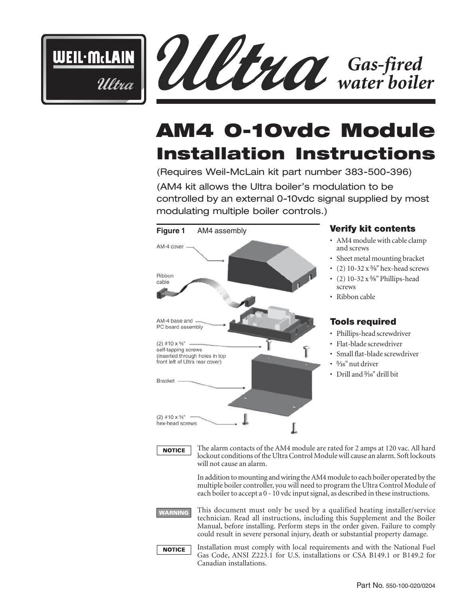



# **AM4 0-10vdc Module Installation Instructions**

(Requires Weil-McLain kit part number 383-500-396)

(AM4 kit allows the Ultra boiler's modulation to be controlled by an external 0-10vdc signal supplied by most modulating multiple boiler controls.)



# **Verify kit contents**

- AM4 module with cable clamp and screws
- Sheet metal mounting bracket
- (2)  $10-32 \times \frac{3}{8}$ " hex-head screws
- (2)  $10-32 \times \frac{5}{8}$ " Phillips-head screws
- Ribbon cable

# **Tools required**

- Phillips-head screwdriver
- Flat-blade screwdriver
- Small flat-blade screwdriver
- $5/16$ " nut driver
- Drill and <sup>3</sup>/<sub>16</sub>" drill bit



The alarm contacts of the AM4 module are rated for 2 amps at 120 vac. All hard lockout conditions of the Ultra Control Module will cause an alarm. Soft lockouts will not cause an alarm.

In addition to mounting and wiring the AM4 module to each boiler operated by the multiple boiler controller, you will need to program the Ultra Control Module of each boiler to accept a 0 - 10 vdc input signal, as described in these instructions.

**WARNING** 

This document must only be used by a qualified heating installer/service technician. Read all instructions, including this Supplement and the Boiler Manual, before installing. Perform steps in the order given. Failure to comply could result in severe personal injury, death or substantial property damage.



Installation must comply with local requirements and with the National Fuel Gas Code, ANSI Z223.1 for U.S. installations or CSA B149.1 or B149.2 for Canadian installations.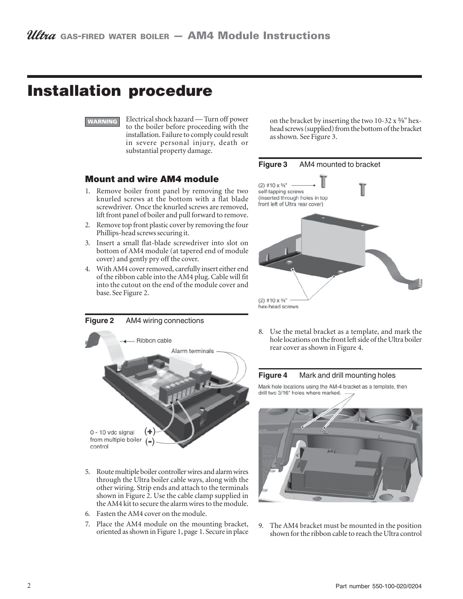# **Installation procedure**



Electrical shock hazard — Turn off power to the boiler before proceeding with the installation. Failure to comply could result in severe personal injury, death or substantial property damage.

### **Mount and wire AM4 module**

- 1. Remove boiler front panel by removing the two knurled screws at the bottom with a flat blade screwdriver. Once the knurled screws are removed, lift front panel of boiler and pull forward to remove.
- 2. Remove top front plastic cover by removing the four Phillips-head screws securing it.
- Insert a small flat-blade screwdriver into slot on bottom of AM4 module (at tapered end of module cover) and gently pry off the cover.
- 4. With AM4 cover removed, carefully insert either end of the ribbon cable into the AM4 plug. Cable will fit into the cutout on the end of the module cover and base. See Figure 2.







- 5. Route multiple boiler controller wires and alarm wires through the Ultra boiler cable ways, along with the other wiring. Strip ends and attach to the terminals shown in Figure 2. Use the cable clamp supplied in the AM4 kit to secure the alarm wires to the module.
- 6. Fasten the AM4 cover on the module.
- 7. Place the AM4 module on the mounting bracket, oriented as shown in Figure 1, page 1. Secure in place

8. Use the metal bracket as a template, and mark the hole locations on the front left side of the Ultra boiler rear cover as shown in Figure 4.

#### **Figure 4** Mark and drill mounting holes

Mark hole locations using the AM-4 bracket as a template, then drill two 3/16" holes where marked.



9. The AM4 bracket must be mounted in the position shown for the ribbon cable to reach the Ultra control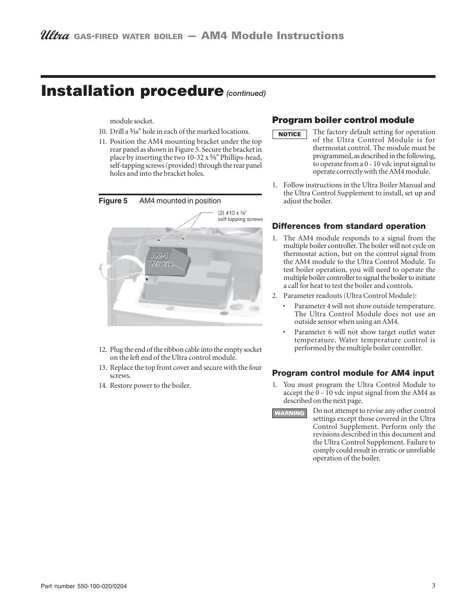# **Installation procedure** *(continued)*

module socket.

- 10. Drill a  $\frac{3}{16}$ " hole in each of the marked locations.
- 11. Position the AM4 mounting bracket under the top rear panel as shown in Figure 5. Secure the bracket in place by inserting the two 10-32  $x$  %" Phillips-head, self-tapping screws (provided) through the rear panel holes and into the bracket holes.



- 12. Plug the end of the ribbon cable into the empty socket on the left end of the Ultra control module.
- 13. Replace the top front cover and secure with the four screws.
- 14. Restore power to the boiler.

### **Program boiler control module**

- The factory default setting for operation **NOTICE** of the Ultra Control Module is for thermostat control. The module must be programmed, as described in the following, to operate from a 0 - 10 vdc input signal to operate correctly with the AM4 module.
- 1. Follow instructions in the Ultra Boiler Manual and the Ultra Control Supplement to install, set up and adjust the boiler.

#### **Differences from standard operation**

- 1. The AM4 module responds to a signal from the multiple boiler controller. The boiler will not cycle on thermostat action, but on the control signal from the AM4 module to the Ultra Control Module. To test boiler operation, you will need to operate the multiple boiler controller to signal the boiler to initiate a call for heat to test the boiler and controls.
- 2. Parameter readouts (Ultra Control Module):
	- Parameter 4 will not show outside temperature. The Ultra Control Module does not use an outside sensor when using an AM4.
	- Parameter 6 will not show target outlet water temperature. Water temperature control is performed by the multiple boiler controller.

#### **Program control module for AM4 input**

- 1. You must program the Ultra Control Module to accept the 0 - 10 vdc input signal from the AM4 as described on the next page.
- Do not attempt to revise any other control **WARNING** settings except those covered in the Ultra Control Supplement. Perform only the revisions described in this document and the Ultra Control Supplement. Failure to comply could result in erratic or unreliable operation of the boiler.